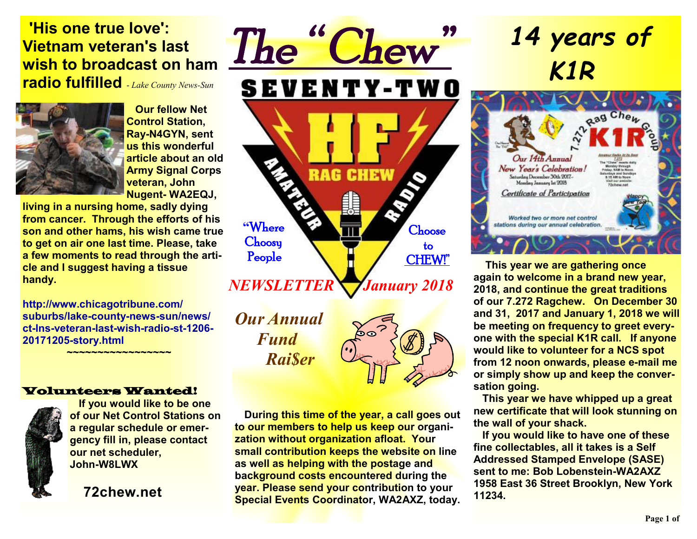#### **'His one true love': Vietnam veteran's last wish to broadcast on ham radio fulfilled** - *Lake County News-Sun*



 **Our fellow Net Control Station, Ray-N4GYN, sent us this wonderful article about an old Army Signal Corps veteran, John Nugent- WA2EQJ,** 

**living in a nursing home, sadly dying from cancer. Through the efforts of his son and other hams, his wish came true to get on air one last time. Please, take a few moments to read through the article and I suggest having a tissue handy.** 

**http://www.chicagotribune.com/ suburbs/lake-county-news-sun/news/ ct-lns-veteran-last-wish-radio-st-1206- 20171205-story.html**

 **~~~~~~~~~~~~~~~~~** 

#### Volunteers Wanted!



 **If you would like to be one of our Net Control Stations on a regular schedule or emergency fill in, please contact our net scheduler, John-W8LWX** 

**72chew.net**

*The " Chew"*  **SEVENTY-TWO RAG CHEW "**Where **Choose Choosy**  to People CHEW!" *NEWSLETTER* *January 2018* 

*Our Annual Fund Rai\$er* 



 **During this time of the year, a call goes out to our members to help us keep our organization without organization afloat. Your small contribution keeps the website on line as well as helping with the postage and background costs encountered during the year. Please send your contribution to your Special Events Coordinator, WA2AXZ, today.** 

# *14 years of K1R*



**This year we are gathering once again to welcome in a brand new year, 2018, and continue the great traditions of our 7.272 Ragchew. On December 30 and 31, 2017 and January 1, 2018 we will be meeting on frequency to greet everyone with the special K1R call. If anyone would like to volunteer for a NCS spot from 12 noon onwards, please e-mail me or simply show up and keep the conversation going.**

 **This year we have whipped up a great new certificate that will look stunning on the wall of your shack.** 

 **If you would like to have one of these fine collectables, all it takes is a Self Addressed Stamped Envelope (SASE) sent to me: Bob Lobenstein-WA2AXZ 1958 East 36 Street Brooklyn, New York 11234.**